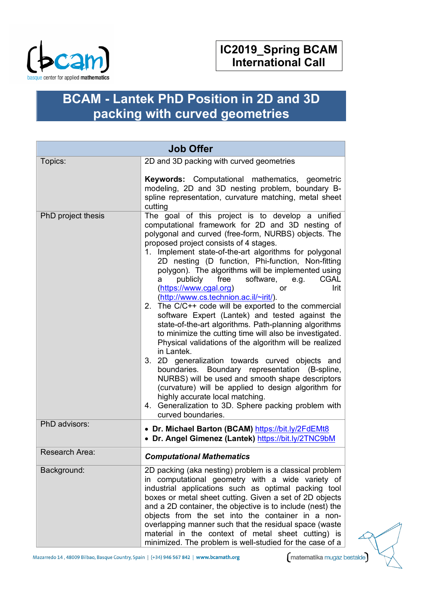

# **BCAM - Lantek PhD Position in 2D and 3D packing with curved geometries**

| <b>Job Offer</b>   |                                                                                                                                                                                                                                                                                                                                                                                                                                                                                                                                                                                                                                                                                                                                                                                                                                                                                                                                                                                                                                                                                                                                                                     |  |
|--------------------|---------------------------------------------------------------------------------------------------------------------------------------------------------------------------------------------------------------------------------------------------------------------------------------------------------------------------------------------------------------------------------------------------------------------------------------------------------------------------------------------------------------------------------------------------------------------------------------------------------------------------------------------------------------------------------------------------------------------------------------------------------------------------------------------------------------------------------------------------------------------------------------------------------------------------------------------------------------------------------------------------------------------------------------------------------------------------------------------------------------------------------------------------------------------|--|
| Topics:            | 2D and 3D packing with curved geometries<br>Keywords: Computational mathematics, geometric<br>modeling, 2D and 3D nesting problem, boundary B-<br>spline representation, curvature matching, metal sheet<br>cutting                                                                                                                                                                                                                                                                                                                                                                                                                                                                                                                                                                                                                                                                                                                                                                                                                                                                                                                                                 |  |
| PhD project thesis | The goal of this project is to develop a unified<br>computational framework for 2D and 3D nesting of<br>polygonal and curved (free-form, NURBS) objects. The<br>proposed project consists of 4 stages.<br>1. Implement state-of-the-art algorithms for polygonal<br>2D nesting (D function, Phi-function, Non-fitting<br>polygon). The algorithms will be implemented using<br>publicly free software,<br>e.g.<br><b>CGAL</b><br>a<br>(https://www.cgal.org)<br>Irit<br><b>or</b><br>(http://www.cs.technion.ac.il/~irit/).<br>2. The C/C++ code will be exported to the commercial<br>software Expert (Lantek) and tested against the<br>state-of-the-art algorithms. Path-planning algorithms<br>to minimize the cutting time will also be investigated.<br>Physical validations of the algorithm will be realized<br>in Lantek.<br>3. 2D generalization towards curved objects and<br>boundaries. Boundary representation (B-spline,<br>NURBS) will be used and smooth shape descriptors<br>(curvature) will be applied to design algorithm for<br>highly accurate local matching.<br>4. Generalization to 3D. Sphere packing problem with<br>curved boundaries. |  |
| PhD advisors:      | • Dr. Michael Barton (BCAM) https://bit.ly/2FdEMt8<br>• Dr. Angel Gimenez (Lantek) https://bit.ly/2TNC9bM                                                                                                                                                                                                                                                                                                                                                                                                                                                                                                                                                                                                                                                                                                                                                                                                                                                                                                                                                                                                                                                           |  |
| Research Area:     | <b>Computational Mathematics</b>                                                                                                                                                                                                                                                                                                                                                                                                                                                                                                                                                                                                                                                                                                                                                                                                                                                                                                                                                                                                                                                                                                                                    |  |
| Background:        | 2D packing (aka nesting) problem is a classical problem<br>in computational geometry with a wide variety of<br>industrial applications such as optimal packing tool<br>boxes or metal sheet cutting. Given a set of 2D objects<br>and a 2D container, the objective is to include (nest) the<br>objects from the set into the container in a non-<br>overlapping manner such that the residual space (waste<br>material in the context of metal sheet cutting) is<br>minimized. The problem is well-studied for the case of a                                                                                                                                                                                                                                                                                                                                                                                                                                                                                                                                                                                                                                       |  |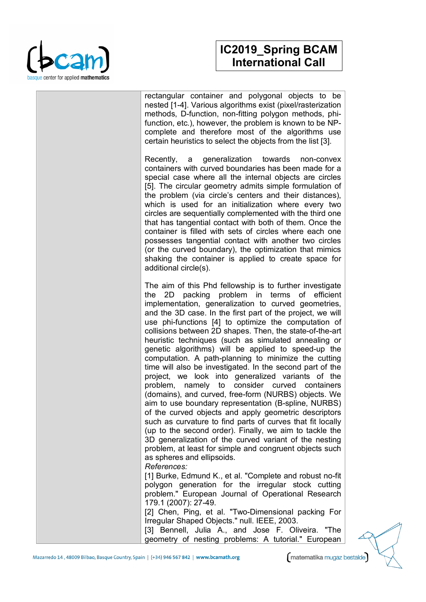

### **IC2019\_Spring BCAM International Call**

rectangular container and polygonal objects to be nested [1-4]. Various algorithms exist (pixel/rasterization methods, D-function, non-fitting polygon methods, phifunction, etc.), however, the problem is known to be NPcomplete and therefore most of the algorithms use certain heuristics to select the objects from the list [3].

Recently, a generalization towards non-convex containers with curved boundaries has been made for a special case where all the internal objects are circles [5]. The circular geometry admits simple formulation of the problem (via circle's centers and their distances), which is used for an initialization where every two circles are sequentially complemented with the third one that has tangential contact with both of them. Once the container is filled with sets of circles where each one possesses tangential contact with another two circles (or the curved boundary), the optimization that mimics shaking the container is applied to create space for additional circle(s).

The aim of this Phd fellowship is to further investigate the 2D packing problem in terms of efficient implementation, generalization to curved geometries, and the 3D case. In the first part of the project, we will use phi-functions [4] to optimize the computation of collisions between 2D shapes. Then, the state-of-the-art heuristic techniques (such as simulated annealing or genetic algorithms) will be applied to speed-up the computation. A path-planning to minimize the cutting time will also be investigated. In the second part of the project, we look into generalized variants of the problem, namely to consider curved containers (domains), and curved, free-form (NURBS) objects. We aim to use boundary representation (B-spline, NURBS) of the curved objects and apply geometric descriptors such as curvature to find parts of curves that fit locally (up to the second order). Finally, we aim to tackle the 3D generalization of the curved variant of the nesting problem, at least for simple and congruent objects such as spheres and ellipsoids.

#### *References:*

[1] Burke, Edmund K., et al. "Complete and robust no-fit polygon generation for the irregular stock cutting problem." European Journal of Operational Research 179.1 (2007): 27-49.

[2] Chen, Ping, et al. "Two-Dimensional packing For Irregular Shaped Objects." null. IEEE, 2003.

[3] Bennell, Julia A., and Jose F. Oliveira. "The geometry of nesting problems: A tutorial." European

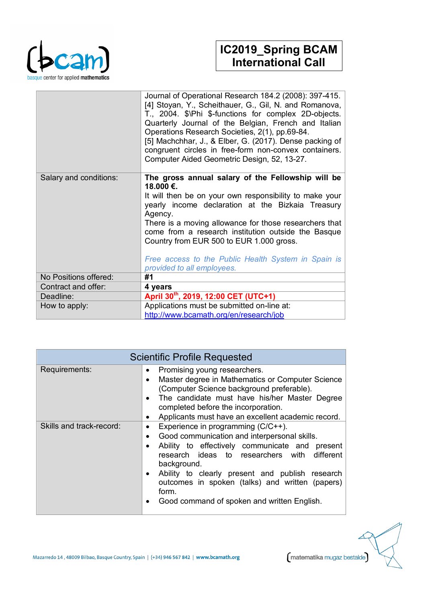

## **IC2019\_Spring BCAM International Call**

|                        | Journal of Operational Research 184.2 (2008): 397-415.<br>[4] Stoyan, Y., Scheithauer, G., Gil, N. and Romanova,<br>T., 2004. \$\Phi \$-functions for complex 2D-objects.<br>Quarterly Journal of the Belgian, French and Italian<br>Operations Research Societies, 2(1), pp.69-84.<br>[5] Machchhar, J., & Elber, G. (2017). Dense packing of<br>congruent circles in free-form non-convex containers.<br>Computer Aided Geometric Design, 52, 13-27. |
|------------------------|--------------------------------------------------------------------------------------------------------------------------------------------------------------------------------------------------------------------------------------------------------------------------------------------------------------------------------------------------------------------------------------------------------------------------------------------------------|
| Salary and conditions: | The gross annual salary of the Fellowship will be<br>18.000 €.<br>It will then be on your own responsibility to make your<br>yearly income declaration at the Bizkaia Treasury<br>Agency.<br>There is a moving allowance for those researchers that<br>come from a research institution outside the Basque<br>Country from EUR 500 to EUR 1.000 gross.<br>Free access to the Public Health System in Spain is<br>provided to all employees.            |
| No Positions offered:  | #1                                                                                                                                                                                                                                                                                                                                                                                                                                                     |
| Contract and offer:    | 4 years                                                                                                                                                                                                                                                                                                                                                                                                                                                |
| Deadline:              | April 30th, 2019, 12:00 CET (UTC+1)                                                                                                                                                                                                                                                                                                                                                                                                                    |
| How to apply:          | Applications must be submitted on-line at:                                                                                                                                                                                                                                                                                                                                                                                                             |
|                        | http://www.bcamath.org/en/research/job                                                                                                                                                                                                                                                                                                                                                                                                                 |

| <b>Scientific Profile Requested</b> |                                                                                                                                                                                                                                                                                                                                                                                                                                    |  |
|-------------------------------------|------------------------------------------------------------------------------------------------------------------------------------------------------------------------------------------------------------------------------------------------------------------------------------------------------------------------------------------------------------------------------------------------------------------------------------|--|
| Requirements:                       | Promising young researchers.<br>$\bullet$<br>Master degree in Mathematics or Computer Science<br>$\bullet$<br>(Computer Science background preferable).<br>The candidate must have his/her Master Degree<br>$\bullet$<br>completed before the incorporation.<br>Applicants must have an excellent academic record.<br>٠                                                                                                            |  |
| Skills and track-record:            | Experience in programming (C/C++).<br>$\bullet$<br>Good communication and interpersonal skills.<br>$\bullet$<br>Ability to effectively communicate and present<br>$\bullet$<br>research ideas to researchers with different<br>background.<br>Ability to clearly present and publish research<br>$\bullet$<br>outcomes in spoken (talks) and written (papers)<br>form.<br>Good command of spoken and written English.<br>$\bullet$ |  |